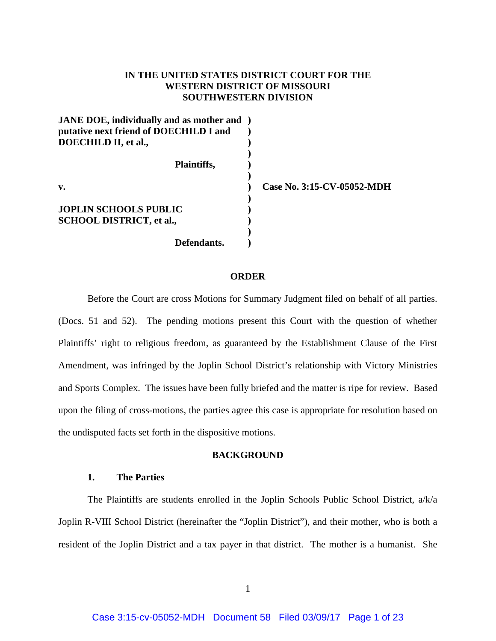# **IN THE UNITED STATES DISTRICT COURT FOR THE WESTERN DISTRICT OF MISSOURI SOUTHWESTERN DIVISION**

| <b>JANE DOE, individually and as mother and</b> |                            |
|-------------------------------------------------|----------------------------|
| putative next friend of DOECHILD I and          |                            |
| DOECHILD II, et al.,                            |                            |
|                                                 |                            |
| Plaintiffs,                                     |                            |
|                                                 |                            |
| v.                                              | Case No. 3:15-CV-05052-MDH |
|                                                 |                            |
| <b>JOPLIN SCHOOLS PUBLIC</b>                    |                            |
| <b>SCHOOL DISTRICT, et al.,</b>                 |                            |
|                                                 |                            |
| Defendants.                                     |                            |

#### **ORDER**

 Before the Court are cross Motions for Summary Judgment filed on behalf of all parties. (Docs. 51 and 52). The pending motions present this Court with the question of whether Plaintiffs' right to religious freedom, as guaranteed by the Establishment Clause of the First Amendment, was infringed by the Joplin School District's relationship with Victory Ministries and Sports Complex. The issues have been fully briefed and the matter is ripe for review. Based upon the filing of cross-motions, the parties agree this case is appropriate for resolution based on the undisputed facts set forth in the dispositive motions.

# **BACKGROUND**

# **1. The Parties**

 The Plaintiffs are students enrolled in the Joplin Schools Public School District, a/k/a Joplin R-VIII School District (hereinafter the "Joplin District"), and their mother, who is both a resident of the Joplin District and a tax payer in that district. The mother is a humanist. She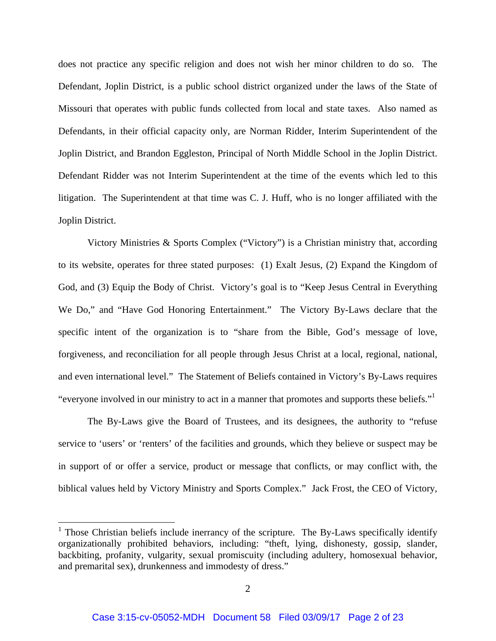does not practice any specific religion and does not wish her minor children to do so. The Defendant, Joplin District, is a public school district organized under the laws of the State of Missouri that operates with public funds collected from local and state taxes. Also named as Defendants, in their official capacity only, are Norman Ridder, Interim Superintendent of the Joplin District, and Brandon Eggleston, Principal of North Middle School in the Joplin District. Defendant Ridder was not Interim Superintendent at the time of the events which led to this litigation. The Superintendent at that time was C. J. Huff, who is no longer affiliated with the Joplin District.

Victory Ministries & Sports Complex ("Victory") is a Christian ministry that, according to its website, operates for three stated purposes: (1) Exalt Jesus, (2) Expand the Kingdom of God, and (3) Equip the Body of Christ. Victory's goal is to "Keep Jesus Central in Everything We Do," and "Have God Honoring Entertainment." The Victory By-Laws declare that the specific intent of the organization is to "share from the Bible, God's message of love, forgiveness, and reconciliation for all people through Jesus Christ at a local, regional, national, and even international level." The Statement of Beliefs contained in Victory's By-Laws requires "everyone involved in our ministry to act in a manner that promotes and supports these beliefs."1

 The By-Laws give the Board of Trustees, and its designees, the authority to "refuse service to 'users' or 'renters' of the facilities and grounds, which they believe or suspect may be in support of or offer a service, product or message that conflicts, or may conflict with, the biblical values held by Victory Ministry and Sports Complex." Jack Frost, the CEO of Victory,

1

<sup>&</sup>lt;sup>1</sup> Those Christian beliefs include inerrancy of the scripture. The By-Laws specifically identify organizationally prohibited behaviors, including: "theft, lying, dishonesty, gossip, slander, backbiting, profanity, vulgarity, sexual promiscuity (including adultery, homosexual behavior, and premarital sex), drunkenness and immodesty of dress."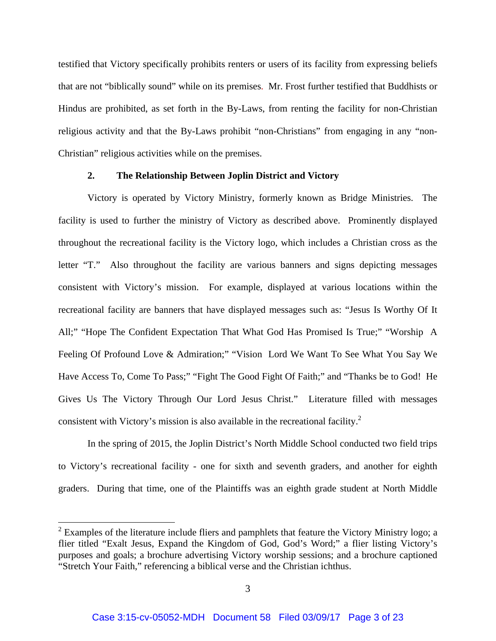testified that Victory specifically prohibits renters or users of its facility from expressing beliefs that are not "biblically sound" while on its premises. Mr. Frost further testified that Buddhists or Hindus are prohibited, as set forth in the By-Laws, from renting the facility for non-Christian religious activity and that the By-Laws prohibit "non-Christians" from engaging in any "non-Christian" religious activities while on the premises.

## **2. The Relationship Between Joplin District and Victory**

Victory is operated by Victory Ministry, formerly known as Bridge Ministries. The facility is used to further the ministry of Victory as described above. Prominently displayed throughout the recreational facility is the Victory logo, which includes a Christian cross as the letter "T." Also throughout the facility are various banners and signs depicting messages consistent with Victory's mission. For example, displayed at various locations within the recreational facility are banners that have displayed messages such as: "Jesus Is Worthy Of It All;" "Hope The Confident Expectation That What God Has Promised Is True;" "Worship A Feeling Of Profound Love & Admiration;" "Vision Lord We Want To See What You Say We Have Access To, Come To Pass;" "Fight The Good Fight Of Faith;" and "Thanks be to God! He Gives Us The Victory Through Our Lord Jesus Christ." Literature filled with messages consistent with Victory's mission is also available in the recreational facility.<sup>2</sup>

 In the spring of 2015, the Joplin District's North Middle School conducted two field trips to Victory's recreational facility - one for sixth and seventh graders, and another for eighth graders. During that time, one of the Plaintiffs was an eighth grade student at North Middle

1

 $2$  Examples of the literature include fliers and pamphlets that feature the Victory Ministry logo; a flier titled "Exalt Jesus, Expand the Kingdom of God, God's Word;" a flier listing Victory's purposes and goals; a brochure advertising Victory worship sessions; and a brochure captioned "Stretch Your Faith," referencing a biblical verse and the Christian ichthus.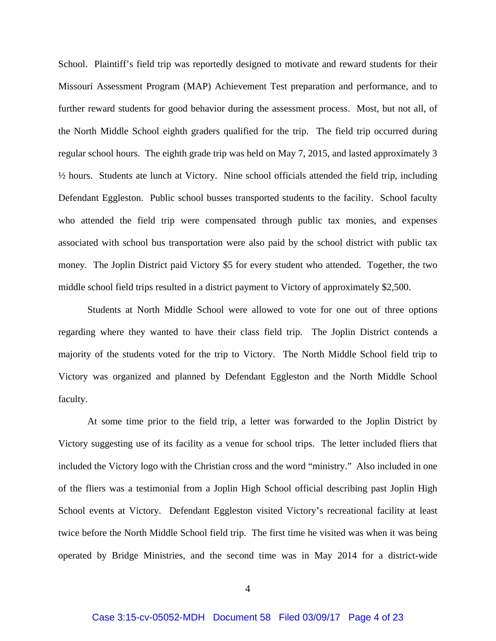School. Plaintiff's field trip was reportedly designed to motivate and reward students for their Missouri Assessment Program (MAP) Achievement Test preparation and performance, and to further reward students for good behavior during the assessment process. Most, but not all, of the North Middle School eighth graders qualified for the trip. The field trip occurred during regular school hours. The eighth grade trip was held on May 7, 2015, and lasted approximately 3 ½ hours. Students ate lunch at Victory. Nine school officials attended the field trip, including Defendant Eggleston. Public school busses transported students to the facility. School faculty who attended the field trip were compensated through public tax monies, and expenses associated with school bus transportation were also paid by the school district with public tax money. The Joplin District paid Victory \$5 for every student who attended. Together, the two middle school field trips resulted in a district payment to Victory of approximately \$2,500.

 Students at North Middle School were allowed to vote for one out of three options regarding where they wanted to have their class field trip. The Joplin District contends a majority of the students voted for the trip to Victory. The North Middle School field trip to Victory was organized and planned by Defendant Eggleston and the North Middle School faculty.

 At some time prior to the field trip, a letter was forwarded to the Joplin District by Victory suggesting use of its facility as a venue for school trips. The letter included fliers that included the Victory logo with the Christian cross and the word "ministry." Also included in one of the fliers was a testimonial from a Joplin High School official describing past Joplin High School events at Victory. Defendant Eggleston visited Victory's recreational facility at least twice before the North Middle School field trip. The first time he visited was when it was being operated by Bridge Ministries, and the second time was in May 2014 for a district-wide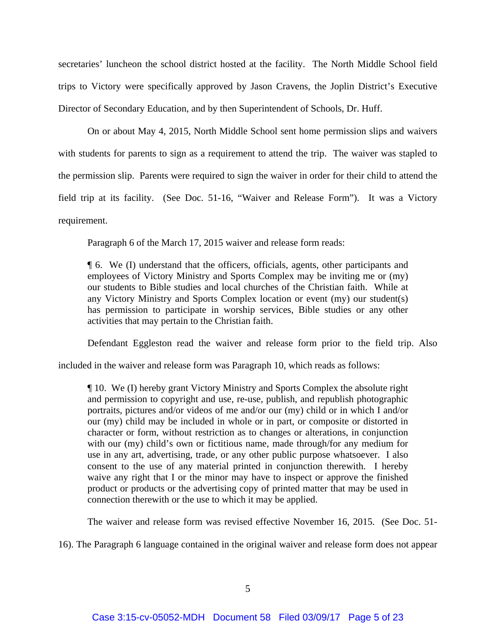secretaries' luncheon the school district hosted at the facility. The North Middle School field trips to Victory were specifically approved by Jason Cravens, the Joplin District's Executive Director of Secondary Education, and by then Superintendent of Schools, Dr. Huff.

 On or about May 4, 2015, North Middle School sent home permission slips and waivers with students for parents to sign as a requirement to attend the trip. The waiver was stapled to the permission slip. Parents were required to sign the waiver in order for their child to attend the field trip at its facility. (See Doc. 51-16, "Waiver and Release Form"). It was a Victory requirement.

Paragraph 6 of the March 17, 2015 waiver and release form reads:

¶ 6. We (I) understand that the officers, officials, agents, other participants and employees of Victory Ministry and Sports Complex may be inviting me or (my) our students to Bible studies and local churches of the Christian faith. While at any Victory Ministry and Sports Complex location or event (my) our student(s) has permission to participate in worship services, Bible studies or any other activities that may pertain to the Christian faith.

Defendant Eggleston read the waiver and release form prior to the field trip. Also

included in the waiver and release form was Paragraph 10, which reads as follows:

¶ 10. We (I) hereby grant Victory Ministry and Sports Complex the absolute right and permission to copyright and use, re-use, publish, and republish photographic portraits, pictures and/or videos of me and/or our (my) child or in which I and/or our (my) child may be included in whole or in part, or composite or distorted in character or form, without restriction as to changes or alterations, in conjunction with our (my) child's own or fictitious name, made through/for any medium for use in any art, advertising, trade, or any other public purpose whatsoever. I also consent to the use of any material printed in conjunction therewith. I hereby waive any right that I or the minor may have to inspect or approve the finished product or products or the advertising copy of printed matter that may be used in connection therewith or the use to which it may be applied.

The waiver and release form was revised effective November 16, 2015. (See Doc. 51-

16). The Paragraph 6 language contained in the original waiver and release form does not appear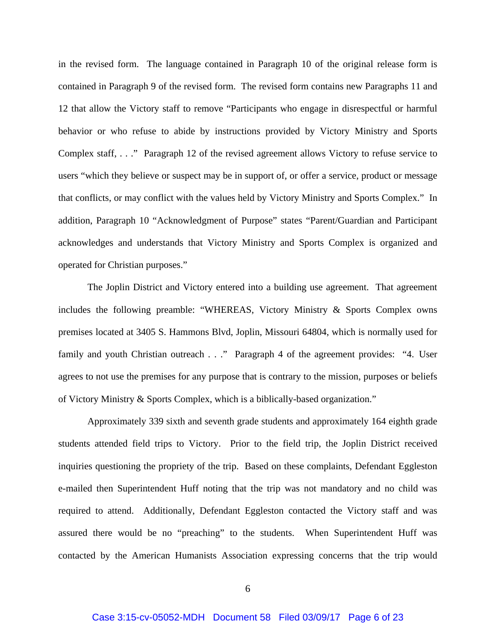in the revised form. The language contained in Paragraph 10 of the original release form is contained in Paragraph 9 of the revised form. The revised form contains new Paragraphs 11 and 12 that allow the Victory staff to remove "Participants who engage in disrespectful or harmful behavior or who refuse to abide by instructions provided by Victory Ministry and Sports Complex staff, . . ." Paragraph 12 of the revised agreement allows Victory to refuse service to users "which they believe or suspect may be in support of, or offer a service, product or message that conflicts, or may conflict with the values held by Victory Ministry and Sports Complex." In addition, Paragraph 10 "Acknowledgment of Purpose" states "Parent/Guardian and Participant acknowledges and understands that Victory Ministry and Sports Complex is organized and operated for Christian purposes."

 The Joplin District and Victory entered into a building use agreement. That agreement includes the following preamble: "WHEREAS, Victory Ministry & Sports Complex owns premises located at 3405 S. Hammons Blvd, Joplin, Missouri 64804, which is normally used for family and youth Christian outreach . . ." Paragraph 4 of the agreement provides: "4. User agrees to not use the premises for any purpose that is contrary to the mission, purposes or beliefs of Victory Ministry & Sports Complex, which is a biblically-based organization."

 Approximately 339 sixth and seventh grade students and approximately 164 eighth grade students attended field trips to Victory. Prior to the field trip, the Joplin District received inquiries questioning the propriety of the trip. Based on these complaints, Defendant Eggleston e-mailed then Superintendent Huff noting that the trip was not mandatory and no child was required to attend. Additionally, Defendant Eggleston contacted the Victory staff and was assured there would be no "preaching" to the students. When Superintendent Huff was contacted by the American Humanists Association expressing concerns that the trip would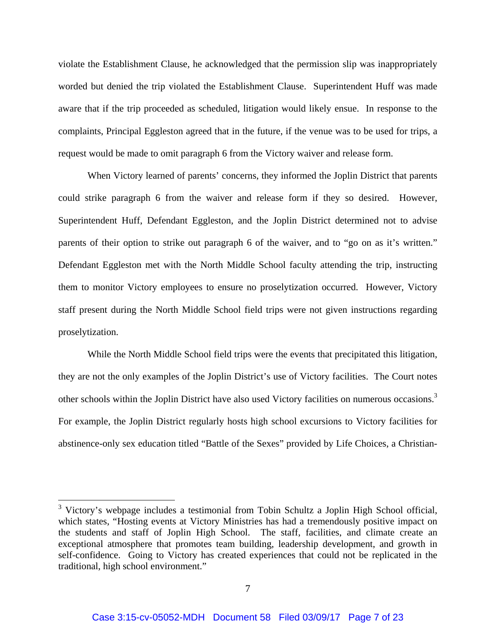violate the Establishment Clause, he acknowledged that the permission slip was inappropriately worded but denied the trip violated the Establishment Clause. Superintendent Huff was made aware that if the trip proceeded as scheduled, litigation would likely ensue. In response to the complaints, Principal Eggleston agreed that in the future, if the venue was to be used for trips, a request would be made to omit paragraph 6 from the Victory waiver and release form.

 When Victory learned of parents' concerns, they informed the Joplin District that parents could strike paragraph 6 from the waiver and release form if they so desired. However, Superintendent Huff, Defendant Eggleston, and the Joplin District determined not to advise parents of their option to strike out paragraph 6 of the waiver, and to "go on as it's written." Defendant Eggleston met with the North Middle School faculty attending the trip, instructing them to monitor Victory employees to ensure no proselytization occurred. However, Victory staff present during the North Middle School field trips were not given instructions regarding proselytization.

 While the North Middle School field trips were the events that precipitated this litigation, they are not the only examples of the Joplin District's use of Victory facilities. The Court notes other schools within the Joplin District have also used Victory facilities on numerous occasions.<sup>3</sup> For example, the Joplin District regularly hosts high school excursions to Victory facilities for abstinence-only sex education titled "Battle of the Sexes" provided by Life Choices, a Christian-

<sup>&</sup>lt;sup>3</sup> Victory's webpage includes a testimonial from Tobin Schultz a Joplin High School official, which states, "Hosting events at Victory Ministries has had a tremendously positive impact on the students and staff of Joplin High School. The staff, facilities, and climate create an exceptional atmosphere that promotes team building, leadership development, and growth in self-confidence. Going to Victory has created experiences that could not be replicated in the traditional, high school environment."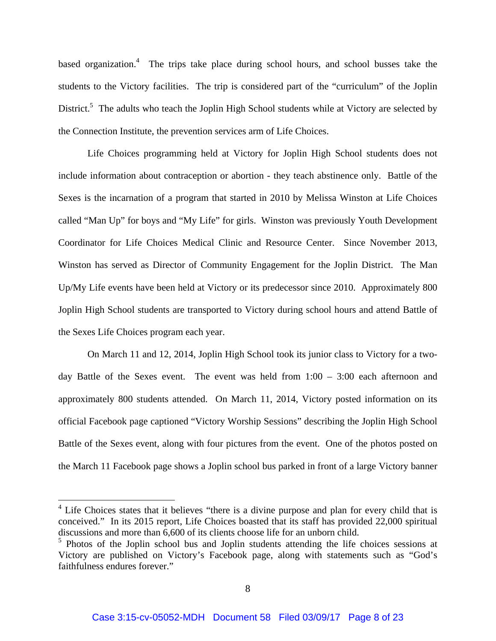based organization.<sup>4</sup> The trips take place during school hours, and school busses take the students to the Victory facilities. The trip is considered part of the "curriculum" of the Joplin District.<sup>5</sup> The adults who teach the Joplin High School students while at Victory are selected by the Connection Institute, the prevention services arm of Life Choices.

 Life Choices programming held at Victory for Joplin High School students does not include information about contraception or abortion - they teach abstinence only. Battle of the Sexes is the incarnation of a program that started in 2010 by Melissa Winston at Life Choices called "Man Up" for boys and "My Life" for girls. Winston was previously Youth Development Coordinator for Life Choices Medical Clinic and Resource Center. Since November 2013, Winston has served as Director of Community Engagement for the Joplin District. The Man Up/My Life events have been held at Victory or its predecessor since 2010. Approximately 800 Joplin High School students are transported to Victory during school hours and attend Battle of the Sexes Life Choices program each year.

 On March 11 and 12, 2014, Joplin High School took its junior class to Victory for a twoday Battle of the Sexes event. The event was held from 1:00 – 3:00 each afternoon and approximately 800 students attended. On March 11, 2014, Victory posted information on its official Facebook page captioned "Victory Worship Sessions" describing the Joplin High School Battle of the Sexes event, along with four pictures from the event. One of the photos posted on the March 11 Facebook page shows a Joplin school bus parked in front of a large Victory banner

1

<sup>&</sup>lt;sup>4</sup> Life Choices states that it believes "there is a divine purpose and plan for every child that is conceived." In its 2015 report, Life Choices boasted that its staff has provided 22,000 spiritual discussions and more than 6,600 of its clients choose life for an unborn child.

<sup>&</sup>lt;sup>5</sup> Photos of the Joplin school bus and Joplin students attending the life choices sessions at Victory are published on Victory's Facebook page, along with statements such as "God's faithfulness endures forever."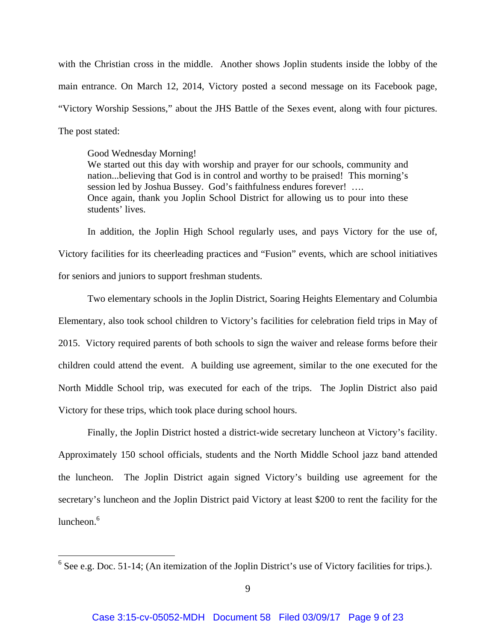with the Christian cross in the middle. Another shows Joplin students inside the lobby of the main entrance. On March 12, 2014, Victory posted a second message on its Facebook page, "Victory Worship Sessions," about the JHS Battle of the Sexes event, along with four pictures. The post stated:

Good Wednesday Morning!

 $\overline{a}$ 

We started out this day with worship and prayer for our schools, community and nation...believing that God is in control and worthy to be praised! This morning's session led by Joshua Bussey. God's faithfulness endures forever! .... Once again, thank you Joplin School District for allowing us to pour into these students' lives.

 In addition, the Joplin High School regularly uses, and pays Victory for the use of, Victory facilities for its cheerleading practices and "Fusion" events, which are school initiatives for seniors and juniors to support freshman students.

 Two elementary schools in the Joplin District, Soaring Heights Elementary and Columbia Elementary, also took school children to Victory's facilities for celebration field trips in May of 2015. Victory required parents of both schools to sign the waiver and release forms before their children could attend the event. A building use agreement, similar to the one executed for the North Middle School trip, was executed for each of the trips. The Joplin District also paid Victory for these trips, which took place during school hours.

 Finally, the Joplin District hosted a district-wide secretary luncheon at Victory's facility. Approximately 150 school officials, students and the North Middle School jazz band attended the luncheon. The Joplin District again signed Victory's building use agreement for the secretary's luncheon and the Joplin District paid Victory at least \$200 to rent the facility for the luncheon. $6$ 

 $6$  See e.g. Doc. 51-14; (An itemization of the Joplin District's use of Victory facilities for trips.).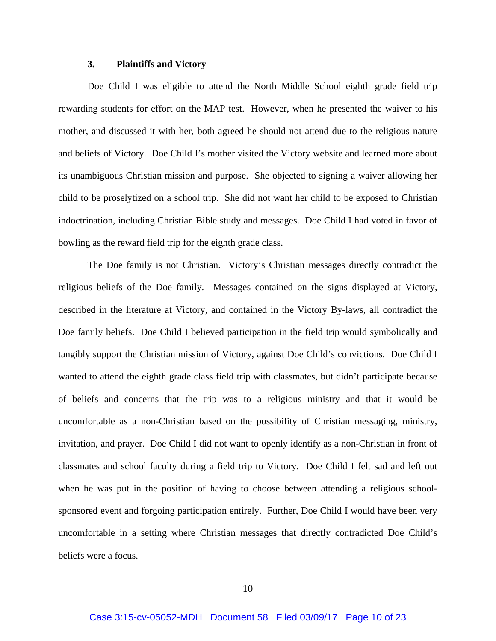## **3. Plaintiffs and Victory**

 Doe Child I was eligible to attend the North Middle School eighth grade field trip rewarding students for effort on the MAP test. However, when he presented the waiver to his mother, and discussed it with her, both agreed he should not attend due to the religious nature and beliefs of Victory. Doe Child I's mother visited the Victory website and learned more about its unambiguous Christian mission and purpose. She objected to signing a waiver allowing her child to be proselytized on a school trip. She did not want her child to be exposed to Christian indoctrination, including Christian Bible study and messages. Doe Child I had voted in favor of bowling as the reward field trip for the eighth grade class.

 The Doe family is not Christian. Victory's Christian messages directly contradict the religious beliefs of the Doe family. Messages contained on the signs displayed at Victory, described in the literature at Victory, and contained in the Victory By-laws, all contradict the Doe family beliefs. Doe Child I believed participation in the field trip would symbolically and tangibly support the Christian mission of Victory, against Doe Child's convictions. Doe Child I wanted to attend the eighth grade class field trip with classmates, but didn't participate because of beliefs and concerns that the trip was to a religious ministry and that it would be uncomfortable as a non-Christian based on the possibility of Christian messaging, ministry, invitation, and prayer. Doe Child I did not want to openly identify as a non-Christian in front of classmates and school faculty during a field trip to Victory. Doe Child I felt sad and left out when he was put in the position of having to choose between attending a religious schoolsponsored event and forgoing participation entirely. Further, Doe Child I would have been very uncomfortable in a setting where Christian messages that directly contradicted Doe Child's beliefs were a focus.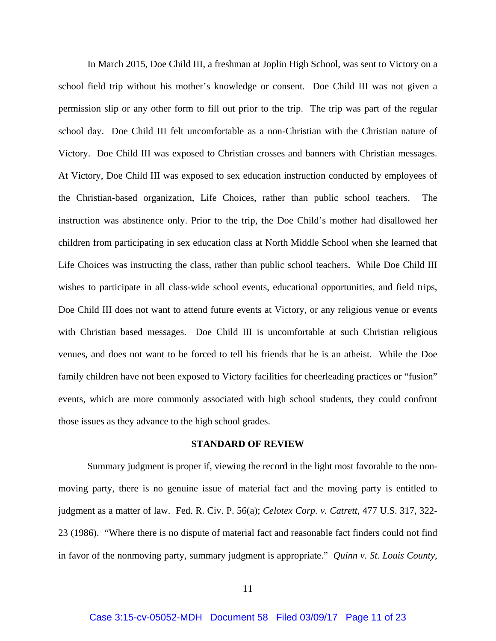In March 2015, Doe Child III, a freshman at Joplin High School, was sent to Victory on a school field trip without his mother's knowledge or consent. Doe Child III was not given a permission slip or any other form to fill out prior to the trip. The trip was part of the regular school day. Doe Child III felt uncomfortable as a non-Christian with the Christian nature of Victory. Doe Child III was exposed to Christian crosses and banners with Christian messages. At Victory, Doe Child III was exposed to sex education instruction conducted by employees of the Christian-based organization, Life Choices, rather than public school teachers. The instruction was abstinence only. Prior to the trip, the Doe Child's mother had disallowed her children from participating in sex education class at North Middle School when she learned that Life Choices was instructing the class, rather than public school teachers. While Doe Child III wishes to participate in all class-wide school events, educational opportunities, and field trips, Doe Child III does not want to attend future events at Victory, or any religious venue or events with Christian based messages. Doe Child III is uncomfortable at such Christian religious venues, and does not want to be forced to tell his friends that he is an atheist. While the Doe family children have not been exposed to Victory facilities for cheerleading practices or "fusion" events, which are more commonly associated with high school students, they could confront those issues as they advance to the high school grades.

#### **STANDARD OF REVIEW**

Summary judgment is proper if, viewing the record in the light most favorable to the nonmoving party, there is no genuine issue of material fact and the moving party is entitled to judgment as a matter of law. Fed. R. Civ. P. 56(a); *Celotex Corp. v. Catrett*, 477 U.S. 317, 322- 23 (1986). "Where there is no dispute of material fact and reasonable fact finders could not find in favor of the nonmoving party, summary judgment is appropriate." *Quinn v. St. Louis County*,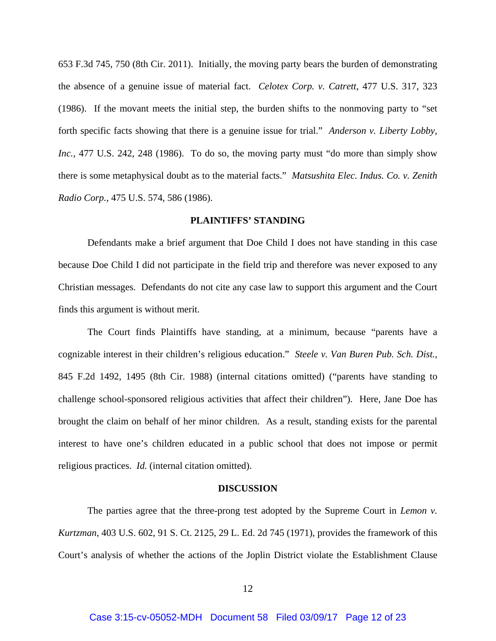653 F.3d 745, 750 (8th Cir. 2011). Initially, the moving party bears the burden of demonstrating the absence of a genuine issue of material fact. *Celotex Corp. v. Catrett*, 477 U.S. 317, 323 (1986). If the movant meets the initial step, the burden shifts to the nonmoving party to "set forth specific facts showing that there is a genuine issue for trial." *Anderson v. Liberty Lobby, Inc.*, 477 U.S. 242, 248 (1986). To do so, the moving party must "do more than simply show there is some metaphysical doubt as to the material facts." *Matsushita Elec. Indus. Co. v. Zenith Radio Corp.*, 475 U.S. 574, 586 (1986).

## **PLAINTIFFS' STANDING**

 Defendants make a brief argument that Doe Child I does not have standing in this case because Doe Child I did not participate in the field trip and therefore was never exposed to any Christian messages. Defendants do not cite any case law to support this argument and the Court finds this argument is without merit.

 The Court finds Plaintiffs have standing, at a minimum, because "parents have a cognizable interest in their children's religious education." *Steele v. Van Buren Pub. Sch. Dist.*, 845 F.2d 1492, 1495 (8th Cir. 1988) (internal citations omitted) ("parents have standing to challenge school-sponsored religious activities that affect their children"). Here, Jane Doe has brought the claim on behalf of her minor children. As a result, standing exists for the parental interest to have one's children educated in a public school that does not impose or permit religious practices. *Id.* (internal citation omitted).

#### **DISCUSSION**

 The parties agree that the three-prong test adopted by the Supreme Court in *Lemon v. Kurtzman*, 403 U.S. 602, 91 S. Ct. 2125, 29 L. Ed. 2d 745 (1971), provides the framework of this Court's analysis of whether the actions of the Joplin District violate the Establishment Clause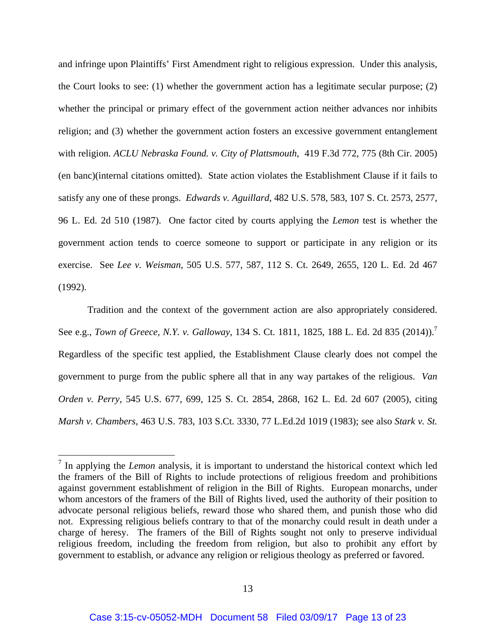and infringe upon Plaintiffs' First Amendment right to religious expression. Under this analysis, the Court looks to see: (1) whether the government action has a legitimate secular purpose; (2) whether the principal or primary effect of the government action neither advances nor inhibits religion; and (3) whether the government action fosters an excessive government entanglement with religion. *ACLU Nebraska Found. v. City of Plattsmouth*, 419 F.3d 772, 775 (8th Cir. 2005) (en banc)(internal citations omitted). State action violates the Establishment Clause if it fails to satisfy any one of these prongs. *Edwards v. Aguillard,* 482 U.S. 578, 583, 107 S. Ct. 2573, 2577, 96 L. Ed. 2d 510 (1987). One factor cited by courts applying the *Lemon* test is whether the government action tends to coerce someone to support or participate in any religion or its exercise. See *Lee v. Weisman*, 505 U.S. 577, 587, 112 S. Ct. 2649, 2655, 120 L. Ed. 2d 467 (1992).

 Tradition and the context of the government action are also appropriately considered. See e.g., *Town of Greece, N.Y. v. Galloway*, 134 S. Ct. 1811, 1825, 188 L. Ed. 2d 835 (2014)).7 Regardless of the specific test applied, the Establishment Clause clearly does not compel the government to purge from the public sphere all that in any way partakes of the religious. *Van Orden v. Perry*, 545 U.S. 677, 699, 125 S. Ct. 2854, 2868, 162 L. Ed. 2d 607 (2005), citing *Marsh v. Chambers*, 463 U.S. 783, 103 S.Ct. 3330, 77 L.Ed.2d 1019 (1983); see also *Stark v. St.* 

<sup>&</sup>lt;sup>7</sup> In applying the *Lemon* analysis, it is important to understand the historical context which led the framers of the Bill of Rights to include protections of religious freedom and prohibitions against government establishment of religion in the Bill of Rights. European monarchs, under whom ancestors of the framers of the Bill of Rights lived, used the authority of their position to advocate personal religious beliefs, reward those who shared them, and punish those who did not. Expressing religious beliefs contrary to that of the monarchy could result in death under a charge of heresy. The framers of the Bill of Rights sought not only to preserve individual religious freedom, including the freedom from religion, but also to prohibit any effort by government to establish, or advance any religion or religious theology as preferred or favored.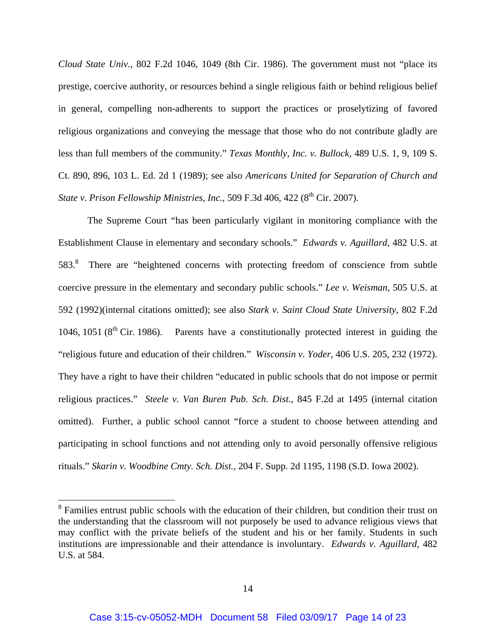*Cloud State Univ.*, 802 F.2d 1046, 1049 (8th Cir. 1986). The government must not "place its prestige, coercive authority, or resources behind a single religious faith or behind religious belief in general, compelling non-adherents to support the practices or proselytizing of favored religious organizations and conveying the message that those who do not contribute gladly are less than full members of the community." *Texas Monthly, Inc. v. Bullock*, 489 U.S. 1, 9, 109 S. Ct. 890, 896, 103 L. Ed. 2d 1 (1989); see also *Americans United for Separation of Church and State v. Prison Fellowship Ministries, Inc., 509 F.3d 406, 422 (8<sup>th</sup> Cir. 2007).* 

 The Supreme Court "has been particularly vigilant in monitoring compliance with the Establishment Clause in elementary and secondary schools." *Edwards v. Aguillard,* 482 U.S. at 583.<sup>8</sup> There are "heightened concerns with protecting freedom of conscience from subtle coercive pressure in the elementary and secondary public schools." *Lee v. Weisman*, 505 U.S. at 592 (1992)(internal citations omitted); see also *Stark v. Saint Cloud State University*, 802 F.2d 1046, 1051 ( $8<sup>th</sup>$  Cir. 1986). Parents have a constitutionally protected interest in guiding the "religious future and education of their children." *Wisconsin v. Yoder*, 406 U.S. 205, 232 (1972). They have a right to have their children "educated in public schools that do not impose or permit religious practices." *Steele v. Van Buren Pub. Sch. Dist*., 845 F.2d at 1495 (internal citation omitted). Further, a public school cannot "force a student to choose between attending and participating in school functions and not attending only to avoid personally offensive religious rituals." *Skarin v. Woodbine Cmty. Sch. Dist.,* 204 F. Supp. 2d 1195, 1198 (S.D. Iowa 2002).

1

<sup>&</sup>lt;sup>8</sup> Families entrust public schools with the education of their children, but condition their trust on the understanding that the classroom will not purposely be used to advance religious views that may conflict with the private beliefs of the student and his or her family. Students in such institutions are impressionable and their attendance is involuntary. *Edwards v. Aguillard*, 482 U.S. at 584.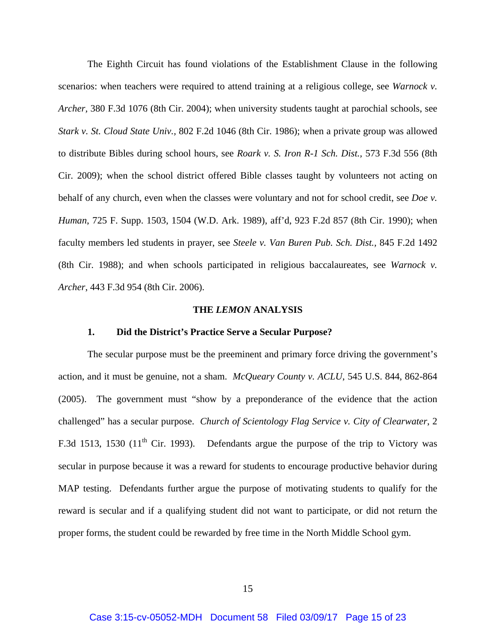The Eighth Circuit has found violations of the Establishment Clause in the following scenarios: when teachers were required to attend training at a religious college, see *Warnock v. Archer,* 380 F.3d 1076 (8th Cir. 2004); when university students taught at parochial schools, see *Stark v. St. Cloud State Univ.,* 802 F.2d 1046 (8th Cir. 1986); when a private group was allowed to distribute Bibles during school hours, see *Roark v. S. Iron R-1 Sch. Dist.,* 573 F.3d 556 (8th Cir. 2009); when the school district offered Bible classes taught by volunteers not acting on behalf of any church, even when the classes were voluntary and not for school credit, see *Doe v. Human*, 725 F. Supp. 1503, 1504 (W.D. Ark. 1989), aff'd, 923 F.2d 857 (8th Cir. 1990); when faculty members led students in prayer, see *Steele v. Van Buren Pub. Sch. Dist.,* 845 F.2d 1492 (8th Cir. 1988); and when schools participated in religious baccalaureates, see *Warnock v. Archer*, 443 F.3d 954 (8th Cir. 2006).

#### **THE** *LEMON* **ANALYSIS**

#### **1. Did the District's Practice Serve a Secular Purpose?**

 The secular purpose must be the preeminent and primary force driving the government's action, and it must be genuine, not a sham. *McQueary County v. ACLU*, 545 U.S. 844, 862-864 (2005). The government must "show by a preponderance of the evidence that the action challenged" has a secular purpose. *Church of Scientology Flag Service v. City of Clearwater*, 2 F.3d 1513, 1530 (11<sup>th</sup> Cir. 1993). Defendants argue the purpose of the trip to Victory was secular in purpose because it was a reward for students to encourage productive behavior during MAP testing. Defendants further argue the purpose of motivating students to qualify for the reward is secular and if a qualifying student did not want to participate, or did not return the proper forms, the student could be rewarded by free time in the North Middle School gym.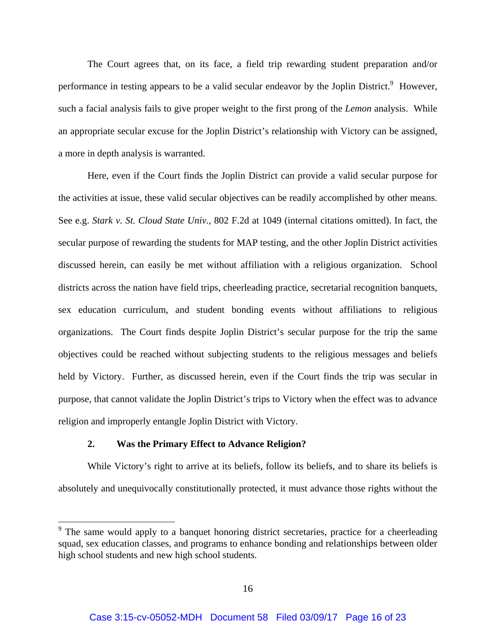The Court agrees that, on its face, a field trip rewarding student preparation and/or performance in testing appears to be a valid secular endeavor by the Joplin District.<sup>9</sup> However, such a facial analysis fails to give proper weight to the first prong of the *Lemon* analysis. While an appropriate secular excuse for the Joplin District's relationship with Victory can be assigned, a more in depth analysis is warranted.

 Here, even if the Court finds the Joplin District can provide a valid secular purpose for the activities at issue, these valid secular objectives can be readily accomplished by other means. See e.g. *Stark v. St. Cloud State Univ.*, 802 F.2d at 1049 (internal citations omitted). In fact, the secular purpose of rewarding the students for MAP testing, and the other Joplin District activities discussed herein, can easily be met without affiliation with a religious organization. School districts across the nation have field trips, cheerleading practice, secretarial recognition banquets, sex education curriculum, and student bonding events without affiliations to religious organizations. The Court finds despite Joplin District's secular purpose for the trip the same objectives could be reached without subjecting students to the religious messages and beliefs held by Victory. Further, as discussed herein, even if the Court finds the trip was secular in purpose, that cannot validate the Joplin District's trips to Victory when the effect was to advance religion and improperly entangle Joplin District with Victory.

# **2. Was the Primary Effect to Advance Religion?**

 $\overline{a}$ 

 While Victory's right to arrive at its beliefs, follow its beliefs, and to share its beliefs is absolutely and unequivocally constitutionally protected, it must advance those rights without the

<sup>&</sup>lt;sup>9</sup> The same would apply to a banquet honoring district secretaries, practice for a cheerleading squad, sex education classes, and programs to enhance bonding and relationships between older high school students and new high school students.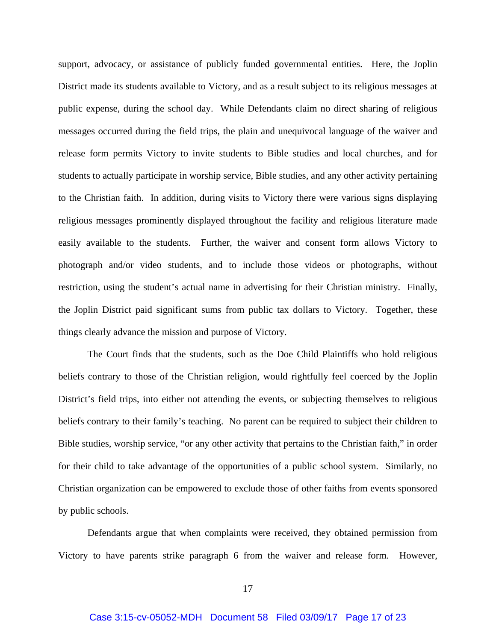support, advocacy, or assistance of publicly funded governmental entities. Here, the Joplin District made its students available to Victory, and as a result subject to its religious messages at public expense, during the school day. While Defendants claim no direct sharing of religious messages occurred during the field trips, the plain and unequivocal language of the waiver and release form permits Victory to invite students to Bible studies and local churches, and for students to actually participate in worship service, Bible studies, and any other activity pertaining to the Christian faith. In addition, during visits to Victory there were various signs displaying religious messages prominently displayed throughout the facility and religious literature made easily available to the students. Further, the waiver and consent form allows Victory to photograph and/or video students, and to include those videos or photographs, without restriction, using the student's actual name in advertising for their Christian ministry. Finally, the Joplin District paid significant sums from public tax dollars to Victory. Together, these things clearly advance the mission and purpose of Victory.

 The Court finds that the students, such as the Doe Child Plaintiffs who hold religious beliefs contrary to those of the Christian religion, would rightfully feel coerced by the Joplin District's field trips, into either not attending the events, or subjecting themselves to religious beliefs contrary to their family's teaching. No parent can be required to subject their children to Bible studies, worship service, "or any other activity that pertains to the Christian faith," in order for their child to take advantage of the opportunities of a public school system. Similarly, no Christian organization can be empowered to exclude those of other faiths from events sponsored by public schools.

 Defendants argue that when complaints were received, they obtained permission from Victory to have parents strike paragraph 6 from the waiver and release form. However,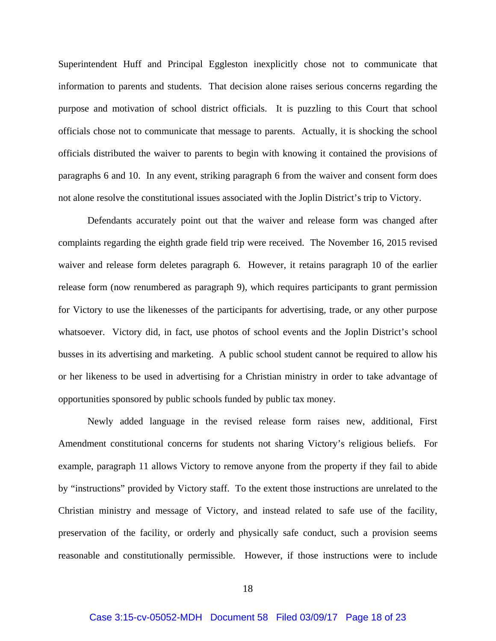Superintendent Huff and Principal Eggleston inexplicitly chose not to communicate that information to parents and students. That decision alone raises serious concerns regarding the purpose and motivation of school district officials. It is puzzling to this Court that school officials chose not to communicate that message to parents. Actually, it is shocking the school officials distributed the waiver to parents to begin with knowing it contained the provisions of paragraphs 6 and 10. In any event, striking paragraph 6 from the waiver and consent form does not alone resolve the constitutional issues associated with the Joplin District's trip to Victory.

 Defendants accurately point out that the waiver and release form was changed after complaints regarding the eighth grade field trip were received. The November 16, 2015 revised waiver and release form deletes paragraph 6. However, it retains paragraph 10 of the earlier release form (now renumbered as paragraph 9), which requires participants to grant permission for Victory to use the likenesses of the participants for advertising, trade, or any other purpose whatsoever. Victory did, in fact, use photos of school events and the Joplin District's school busses in its advertising and marketing. A public school student cannot be required to allow his or her likeness to be used in advertising for a Christian ministry in order to take advantage of opportunities sponsored by public schools funded by public tax money.

 Newly added language in the revised release form raises new, additional, First Amendment constitutional concerns for students not sharing Victory's religious beliefs. For example, paragraph 11 allows Victory to remove anyone from the property if they fail to abide by "instructions" provided by Victory staff. To the extent those instructions are unrelated to the Christian ministry and message of Victory, and instead related to safe use of the facility, preservation of the facility, or orderly and physically safe conduct, such a provision seems reasonable and constitutionally permissible. However, if those instructions were to include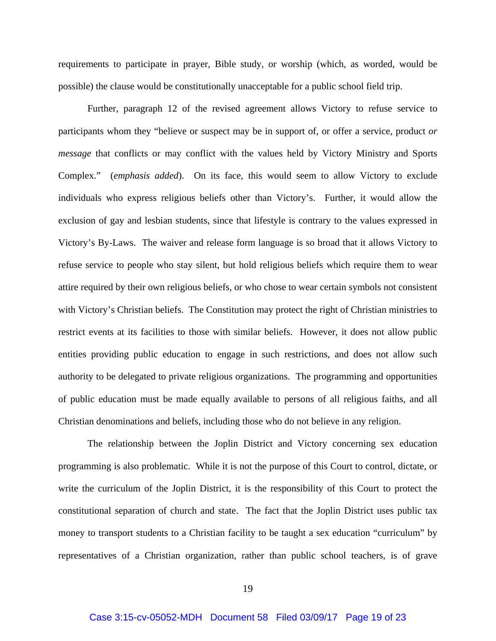requirements to participate in prayer, Bible study, or worship (which, as worded, would be possible) the clause would be constitutionally unacceptable for a public school field trip.

 Further, paragraph 12 of the revised agreement allows Victory to refuse service to participants whom they "believe or suspect may be in support of, or offer a service, product *or message* that conflicts or may conflict with the values held by Victory Ministry and Sports Complex." (*emphasis added*). On its face, this would seem to allow Victory to exclude individuals who express religious beliefs other than Victory's. Further, it would allow the exclusion of gay and lesbian students, since that lifestyle is contrary to the values expressed in Victory's By-Laws. The waiver and release form language is so broad that it allows Victory to refuse service to people who stay silent, but hold religious beliefs which require them to wear attire required by their own religious beliefs, or who chose to wear certain symbols not consistent with Victory's Christian beliefs. The Constitution may protect the right of Christian ministries to restrict events at its facilities to those with similar beliefs. However, it does not allow public entities providing public education to engage in such restrictions, and does not allow such authority to be delegated to private religious organizations. The programming and opportunities of public education must be made equally available to persons of all religious faiths, and all Christian denominations and beliefs, including those who do not believe in any religion.

 The relationship between the Joplin District and Victory concerning sex education programming is also problematic. While it is not the purpose of this Court to control, dictate, or write the curriculum of the Joplin District, it is the responsibility of this Court to protect the constitutional separation of church and state. The fact that the Joplin District uses public tax money to transport students to a Christian facility to be taught a sex education "curriculum" by representatives of a Christian organization, rather than public school teachers, is of grave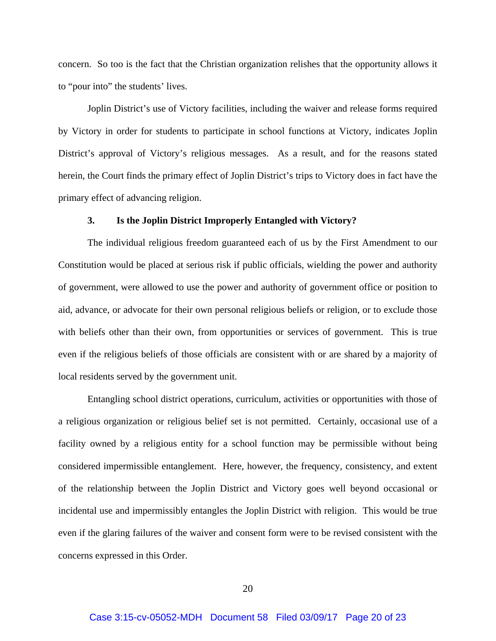concern. So too is the fact that the Christian organization relishes that the opportunity allows it to "pour into" the students' lives.

 Joplin District's use of Victory facilities, including the waiver and release forms required by Victory in order for students to participate in school functions at Victory, indicates Joplin District's approval of Victory's religious messages. As a result, and for the reasons stated herein, the Court finds the primary effect of Joplin District's trips to Victory does in fact have the primary effect of advancing religion.

# **3. Is the Joplin District Improperly Entangled with Victory?**

 The individual religious freedom guaranteed each of us by the First Amendment to our Constitution would be placed at serious risk if public officials, wielding the power and authority of government, were allowed to use the power and authority of government office or position to aid, advance, or advocate for their own personal religious beliefs or religion, or to exclude those with beliefs other than their own, from opportunities or services of government. This is true even if the religious beliefs of those officials are consistent with or are shared by a majority of local residents served by the government unit.

 Entangling school district operations, curriculum, activities or opportunities with those of a religious organization or religious belief set is not permitted. Certainly, occasional use of a facility owned by a religious entity for a school function may be permissible without being considered impermissible entanglement. Here, however, the frequency, consistency, and extent of the relationship between the Joplin District and Victory goes well beyond occasional or incidental use and impermissibly entangles the Joplin District with religion. This would be true even if the glaring failures of the waiver and consent form were to be revised consistent with the concerns expressed in this Order.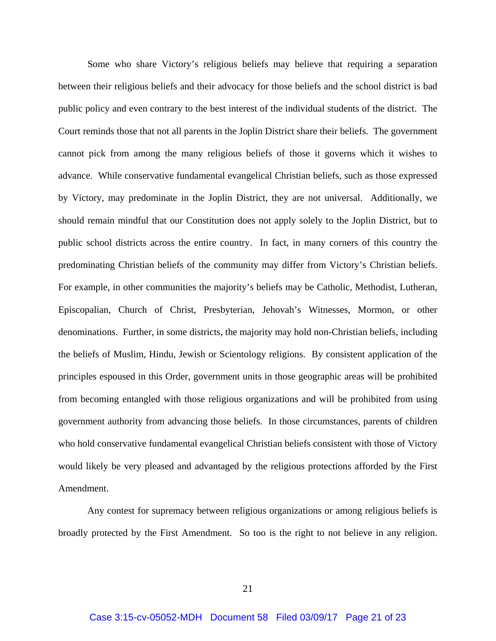Some who share Victory's religious beliefs may believe that requiring a separation between their religious beliefs and their advocacy for those beliefs and the school district is bad public policy and even contrary to the best interest of the individual students of the district. The Court reminds those that not all parents in the Joplin District share their beliefs. The government cannot pick from among the many religious beliefs of those it governs which it wishes to advance. While conservative fundamental evangelical Christian beliefs, such as those expressed by Victory, may predominate in the Joplin District, they are not universal. Additionally, we should remain mindful that our Constitution does not apply solely to the Joplin District, but to public school districts across the entire country. In fact, in many corners of this country the predominating Christian beliefs of the community may differ from Victory's Christian beliefs. For example, in other communities the majority's beliefs may be Catholic, Methodist, Lutheran, Episcopalian, Church of Christ, Presbyterian, Jehovah's Witnesses, Mormon, or other denominations. Further, in some districts, the majority may hold non-Christian beliefs, including the beliefs of Muslim, Hindu, Jewish or Scientology religions. By consistent application of the principles espoused in this Order, government units in those geographic areas will be prohibited from becoming entangled with those religious organizations and will be prohibited from using government authority from advancing those beliefs. In those circumstances, parents of children who hold conservative fundamental evangelical Christian beliefs consistent with those of Victory would likely be very pleased and advantaged by the religious protections afforded by the First Amendment.

 Any contest for supremacy between religious organizations or among religious beliefs is broadly protected by the First Amendment. So too is the right to not believe in any religion.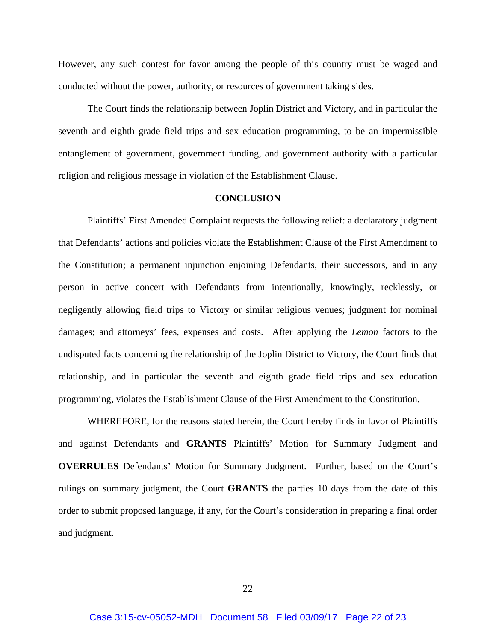However, any such contest for favor among the people of this country must be waged and conducted without the power, authority, or resources of government taking sides.

 The Court finds the relationship between Joplin District and Victory, and in particular the seventh and eighth grade field trips and sex education programming, to be an impermissible entanglement of government, government funding, and government authority with a particular religion and religious message in violation of the Establishment Clause.

## **CONCLUSION**

Plaintiffs' First Amended Complaint requests the following relief: a declaratory judgment that Defendants' actions and policies violate the Establishment Clause of the First Amendment to the Constitution; a permanent injunction enjoining Defendants, their successors, and in any person in active concert with Defendants from intentionally, knowingly, recklessly, or negligently allowing field trips to Victory or similar religious venues; judgment for nominal damages; and attorneys' fees, expenses and costs. After applying the *Lemon* factors to the undisputed facts concerning the relationship of the Joplin District to Victory, the Court finds that relationship, and in particular the seventh and eighth grade field trips and sex education programming, violates the Establishment Clause of the First Amendment to the Constitution.

WHEREFORE, for the reasons stated herein, the Court hereby finds in favor of Plaintiffs and against Defendants and **GRANTS** Plaintiffs' Motion for Summary Judgment and **OVERRULES** Defendants' Motion for Summary Judgment. Further, based on the Court's rulings on summary judgment, the Court **GRANTS** the parties 10 days from the date of this order to submit proposed language, if any, for the Court's consideration in preparing a final order and judgment.